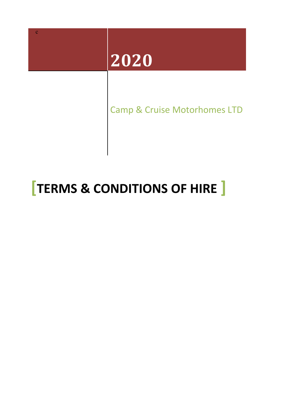# **2020**

c

Camp & Cruise Motorhomes LTD

# **[TERMS & CONDITIONS OF HIRE ]**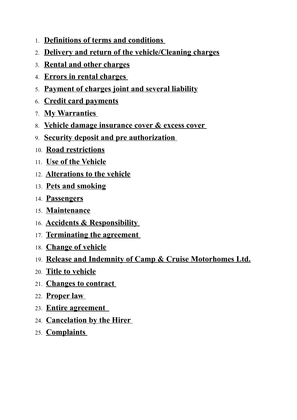- 1. **Definitions of terms and conditions**
- 2. **Delivery and return of the vehicle/Cleaning charges**
- 3. **Rental and other charges**
- 4. **Errors in rental charges**
- 5. **Payment of charges joint and several liability**
- 6. **Credit card payments**
- 7. **My Warranties**
- 8. **Vehicle damage insurance cover & excess cover**
- 9. **Security deposit and pre authorization**
- 10. **Road restrictions**
- 11. **Use of the Vehicle**
- 12. **Alterations to the vehicle**
- 13. **Pets and smoking**
- 14. **Passengers**
- 15. **Maintenance**
- 16. **Accidents & Responsibility**
- 17. **Terminating the agreement**
- 18. **Change of vehicle**
- 19. **Release and Indemnity of Camp & Cruise Motorhomes Ltd.**
- 20. **Title to vehicle**
- 21. **Changes to contract**
- 22. **Proper law**
- 23. **Entire agreement**
- 24. **Cancelation by the Hirer**
- 25. **Complaints**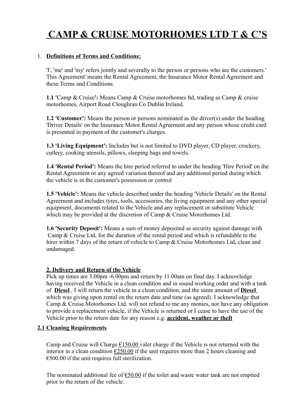# **CAMP & CRUISE MOTORHOMES LTD T & C'S**

# 1. **Definitions of Terms and Conditions:**

'I', 'me' and 'my' refers jointly and severally to the person or persons who are the customers.' This Agreement' means the Rental Agreement, the Insurance Motor Rental Agreement and these Terms and Conditions.

**1.1 '**Camp & Cruise**':** Means Camp & Cruise motorhomes ltd, trading as Camp & cruise motorhomes, Airport Road Cloughran Co Dublin Ireland.

**1.2 'Customer':** Means the person or persons nominated as the driver(s) under the heading 'Driver Details' on the Insurance Motor Rental Agreement and any person whose credit card is presented in payment of the customer's charges.

**1.3 'Living Equipment':** Includes but is not limited to DVD player, CD player, crockery, cutlery, cooking utensils, pillows, sleeping bags and towels.

**1.4 'Rental Period':** Means the hire period referred to under the heading 'Hire Period' on the Rental Agreement or any agreed variation thereof and any additional period during which the vehicle is in the customer's possession or control

**1.5 'Vehicle':** Means the vehicle described under the heading 'Vehicle Details' on the Rental Agreement and includes tyres, tools, accessories, the living equipment and any other special equipment, documents related to the Vehicle and any replacement or substitute Vehicle which may be provided at the discretion of Camp & Cruise Motorhomes Ltd.

**1.6 'Security Deposit':** Means a sum of money deposited as security against damage with Camp & Cruise Ltd, for the duration of the rental period and which is refundable to the hirer within 7 days of the return of vehicle to Camp & Cruise Motorhomes Ltd, clean and undamaged.

# **2. Delivery and Return of the Vehicle**

Pick up times are 3.00pm -6.00pm and return by 11.00am on final day. I acknowledge having received the Vehicle in a clean condition and in sound working order and with a tank of **Diesel** . I will return the vehicle in a clean condition, and the same amount of **Diesel**  which was giving upon rental on the return date and time (as agreed). I acknowledge that Camp & Cruise Motorhomes Ltd. will not refund to me any monies, nor have any obligation to provide a replacement vehicle, if the Vehicle is returned or I cease to have the use of the Vehicle prior to the return date for any reason e.g. **accident, weather or theft**

# **2.1 Cleaning Requirements**

Camp and Cruise will Charge  $\epsilon$ 150.00 valet charge if the Vehicle is not returned with the interior in a clean condition  $E250.00$  if the unit requires more than 2 hours cleaning and  $\epsilon$ 500.00 if the unit requires full sterilization.

The nominated additional fee of  $\epsilon$ 50.00 if the toilet and waste water tank are not emptied prior to the return of the vehicle.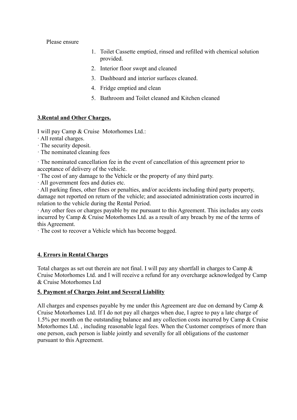#### Please ensure

- 1. Toilet Cassette emptied, rinsed and refilled with chemical solution provided.
- 2. Interior floor swept and cleaned
- 3. Dashboard and interior surfaces cleaned.
- 4. Fridge emptied and clean
- 5. Bathroom and Toilet cleaned and Kitchen cleaned

# **3.Rental and Other Charges.**

I will pay Camp & Cruise Motorhomes Ltd.:

- · All rental charges.
- · The security deposit.
- · The nominated cleaning fees

· The nominated cancellation fee in the event of cancellation of this agreement prior to acceptance of delivery of the vehicle.

· The cost of any damage to the Vehicle or the property of any third party.

· All government fees and duties etc.

· All parking fines, other fines or penalties, and/or accidents including third party property, damage not reported on return of the vehicle; and associated administration costs incurred in relation to the vehicle during the Rental Period.

· Any other fees or charges payable by me pursuant to this Agreement. This includes any costs incurred by Camp & Cruise Motorhomes Ltd. as a result of any breach by me of the terms of this Agreement.

· The cost to recover a Vehicle which has become bogged.

# **4. Errors in Rental Charges**

Total charges as set out therein are not final. I will pay any shortfall in charges to Camp & Cruise Motorhomes Ltd. and I will receive a refund for any overcharge acknowledged by Camp & Cruise Motorhomes Ltd

# **5. Payment of Charges Joint and Several Liability**

All charges and expenses payable by me under this Agreement are due on demand by Camp & Cruise Motorhomes Ltd. If I do not pay all charges when due, I agree to pay a late charge of 1.5% per month on the outstanding balance and any collection costs incurred by Camp & Cruise Motorhomes Ltd. , including reasonable legal fees. When the Customer comprises of more than one person, each person is liable jointly and severally for all obligations of the customer pursuant to this Agreement.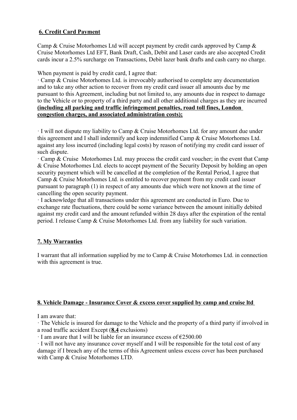# **6. Credit Card Payment**

Camp & Cruise Motorhomes Ltd will accept payment by credit cards approved by Camp & Cruise Motorhomes Ltd EFT, Bank Draft, Cash, Debit and Laser cards are also accepted Credit cards incur a 2.5% surcharge on Transactions, Debit lazer bank drafts and cash carry no charge.

When payment is paid by credit card, I agree that:

· Camp & Cruise Motorhomes Ltd. is irrevocably authorised to complete any documentation and to take any other action to recover from my credit card issuer all amounts due by me pursuant to this Agreement, including but not limited to, any amounts due in respect to damage to the Vehicle or to property of a third party and all other additional charges as they are incurred **(including all parking and traffic infringement penalties, road toll fines, London congestion charges, and associated administration costs);**

· I will not dispute my liability to Camp & Cruise Motorhomes Ltd. for any amount due under this agreement and I shall indemnify and keep indemnified Camp & Cruise Motorhomes Ltd. against any loss incurred (including legal costs) by reason of notifying my credit card issuer of such dispute.

· Camp & Cruise Motorhomes Ltd. may process the credit card voucher; in the event that Camp & Cruise Motorhomes Ltd. elects to accept payment of the Security Deposit by holding an open security payment which will be cancelled at the completion of the Rental Period, I agree that Camp & Cruise Motorhomes Ltd. is entitled to recover payment from my credit card issuer pursuant to paragraph (1) in respect of any amounts due which were not known at the time of cancelling the open security payment.

· I acknowledge that all transactions under this agreement are conducted in Euro. Due to exchange rate fluctuations, there could be some variance between the amount initially debited against my credit card and the amount refunded within 28 days after the expiration of the rental period. I release Camp & Cruise Motorhomes Ltd. from any liability for such variation.

# **7. My Warranties**

I warrant that all information supplied by me to Camp & Cruise Motorhomes Ltd. in connection with this agreement is true.

# **8. Vehicle Damage - Insurance Cover & excess cover supplied by camp and cruise ltd**

I am aware that:

· The Vehicle is insured for damage to the Vehicle and the property of a third party if involved in a road traffic accident Except (**8.4** exclusions)

 $\cdot$  I am aware that I will be liable for an insurance excess of  $\epsilon$ 2500.00

· I will not have any insurance cover myself and I will be responsible for the total cost of any damage if I breach any of the terms of this Agreement unless excess cover has been purchased with Camp & Cruise Motorhomes LTD.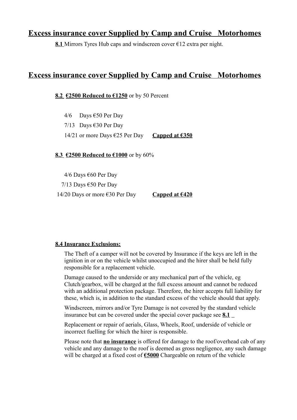# **Excess insurance cover Supplied by Camp and Cruise Motorhomes**

**8.1** Mirrors Tyres Hub caps and windscreen cover €12 extra per night.

# **Excess insurance cover Supplied by Camp and Cruise Motorhomes**

# **8.2 €2500 Reduced to €1250** or by 50 Percent

4/6 Days €50 Per Day 7/13 Days €30 Per Day 14/21 or more Days €25 Per Day **Capped at €350**

# **8.3 €2500 Reduced to €1000** or by 60%

 4/6 Days €60 Per Day 7/13 Days  $\epsilon$ 50 Per Day 14/20 Days or more €30 Per Day **Capped at €420**

# **8.4 Insurance Exclusions:**

The Theft of a camper will not be covered by Insurance if the keys are left in the ignition in or on the vehicle whilst unoccupied and the hirer shall be held fully responsible for a replacement vehicle.

Damage caused to the underside or any mechanical part of the vehicle, eg Clutch/gearbox, will be charged at the full excess amount and cannot be reduced with an additional protection package. Therefore, the hirer accepts full liability for these, which is, in addition to the standard excess of the vehicle should that apply.

Windscreen, mirrors and/or Tyre Damage is not covered by the standard vehicle insurance but can be covered under the special cover package see **8.1** 

Replacement or repair of aerials, Glass, Wheels, Roof, underside of vehicle or incorrect fuelling for which the hirer is responsible.

Please note that **no insurance** is offered for damage to the roof/overhead cab of any vehicle and any damage to the roof is deemed as gross negligence, any such damage will be charged at a fixed cost of **€5000** Chargeable on return of the vehicle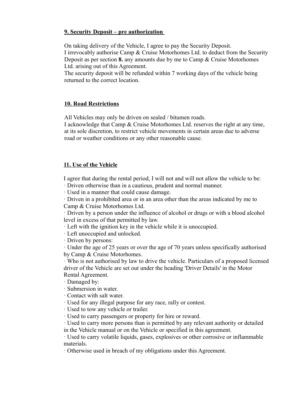# **9. Security Deposit – pre authorization**

On taking delivery of the Vehicle, I agree to pay the Security Deposit. I irrevocably authorise Camp & Cruise Motorhomes Ltd. to deduct from the Security Deposit as per section **8.** any amounts due by me to Camp & Cruise Motorhomes Ltd. arising out of this Agreement.

The security deposit will be refunded within 7 working days of the vehicle being returned to the correct location.

#### **10. Road Restrictions**

All Vehicles may only be driven on sealed / bitumen roads.

I acknowledge that Camp & Cruise Motorhomes Ltd. reserves the right at any time, at its sole discretion, to restrict vehicle movements in certain areas due to adverse road or weather conditions or any other reasonable cause.

#### **11. Use of the Vehicle**

I agree that during the rental period, I will not and will not allow the vehicle to be:

· Driven otherwise than in a cautious, prudent and normal manner.

· Used in a manner that could cause damage.

· Driven in a prohibited area or in an area other than the areas indicated by me to Camp & Cruise Motorhomes Ltd.

· Driven by a person under the influence of alcohol or drugs or with a blood alcohol level in excess of that permitted by law.

· Left with the ignition key in the vehicle while it is unoccupied.

· Left unoccupied and unlocked.

· Driven by persons:

· Under the age of 25 years or over the age of 70 years unless specifically authorised by Camp & Cruise Motorhomes.

· Who is not authorised by law to drive the vehicle. Particulars of a proposed licensed driver of the Vehicle are set out under the heading 'Driver Details' in the Motor Rental Agreement.

· Damaged by:

· Submersion in water.

· Contact with salt water.

· Used for any illegal purpose for any race, rally or contest.

· Used to tow any vehicle or trailer.

· Used to carry passengers or property for hire or reward.

· Used to carry more persons than is permitted by any relevant authority or detailed in the Vehicle manual or on the Vehicle or specified in this agreement.

· Used to carry volatile liquids, gases, explosives or other corrosive or inflammable materials.

· Otherwise used in breach of my obligations under this Agreement.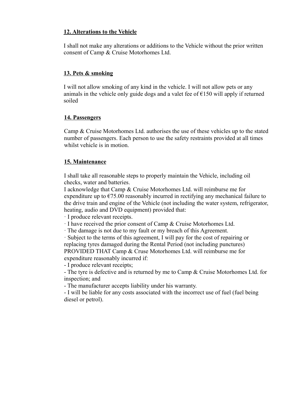# **12. Alterations to the Vehicle**

I shall not make any alterations or additions to the Vehicle without the prior written consent of Camp & Cruise Motorhomes Ltd.

# **13. Pets & smoking**

I will not allow smoking of any kind in the vehicle. I will not allow pets or any animals in the vehicle only guide dogs and a valet fee of  $\epsilon$ 150 will apply if returned soiled

# **14. Passengers**

Camp & Cruise Motorhomes Ltd. authorises the use of these vehicles up to the stated number of passengers. Each person to use the safety restraints provided at all times whilst vehicle is in motion.

# **15. Maintenance**

I shall take all reasonable steps to properly maintain the Vehicle, including oil checks, water and batteries.

I acknowledge that Camp & Cruise Motorhomes Ltd. will reimburse me for expenditure up to  $\epsilon$ 75.00 reasonably incurred in rectifying any mechanical failure to the drive train and engine of the Vehicle (not including the water system, refrigerator, heating, audio and DVD equipment) provided that:

· I produce relevant receipts.

· I have received the prior consent of Camp & Cruise Motorhomes Ltd.

· The damage is not due to my fault or my breach of this Agreement.

· Subject to the terms of this agreement, I will pay for the cost of repairing or replacing tyres damaged during the Rental Period (not including punctures) PROVIDED THAT Camp & Cruse Motorhomes Ltd. will reimburse me for expenditure reasonably incurred if:

- I produce relevant receipts;

- The tyre is defective and is returned by me to Camp & Cruise Motorhomes Ltd. for inspection; and

- The manufacturer accepts liability under his warranty.

- I will be liable for any costs associated with the incorrect use of fuel (fuel being diesel or petrol).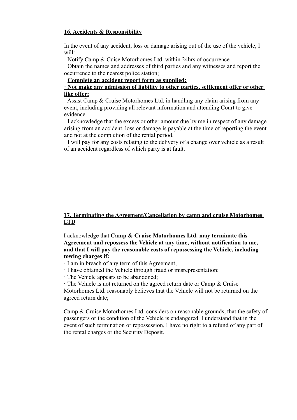#### **16. Accidents & Responsibility**

In the event of any accident, loss or damage arising out of the use of the vehicle, I will:

· Notify Camp & Cuise Motorhomes Ltd. within 24hrs of occurrence.

· Obtain the names and addresses of third parties and any witnesses and report the occurrence to the nearest police station;

· **Complete an accident report form as supplied;**

 **· Not make any admission of liability to other parties, settlement offer or other like offer;**

· Assist Camp & Cruise Motorhomes Ltd. in handling any claim arising from any event, including providing all relevant information and attending Court to give evidence.

· I acknowledge that the excess or other amount due by me in respect of any damage arising from an accident, loss or damage is payable at the time of reporting the event and not at the completion of the rental period.

· I will pay for any costs relating to the delivery of a change over vehicle as a result of an accident regardless of which party is at fault.

# **17. Terminating the Agreement/Cancellation by camp and cruise Motorhomes LTD**

I acknowledge that **Camp & Cruise Motorhomes Ltd. may terminate this Agreement and repossess the Vehicle at any time, without notification to me, and that I will pay the reasonable costs of repossessing the Vehicle, including towing charges if:**

- · I am in breach of any term of this Agreement;
- · I have obtained the Vehicle through fraud or misrepresentation;

· The Vehicle appears to be abandoned;

· The Vehicle is not returned on the agreed return date or Camp & Cruise Motorhomes Ltd. reasonably believes that the Vehicle will not be returned on the agreed return date;

Camp & Cruise Motorhomes Ltd. considers on reasonable grounds, that the safety of passengers or the condition of the Vehicle is endangered. I understand that in the event of such termination or repossession, I have no right to a refund of any part of the rental charges or the Security Deposit.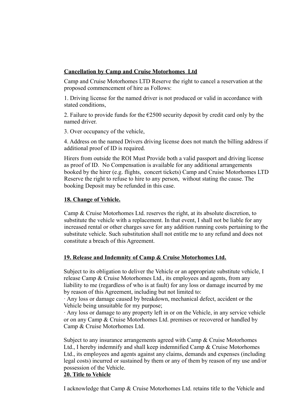#### **Cancellation by Camp and Cruise Motorhomes Ltd**

Camp and Cruise Motorhomes LTD Reserve the right to cancel a reservation at the proposed commencement of hire as Follows:

1. Driving license for the named driver is not produced or valid in accordance with stated conditions,

2. Failure to provide funds for the  $E$ 2500 security deposit by credit card only by the named driver.

3. Over occupancy of the vehicle,

4. Address on the named Drivers driving license does not match the billing address if additional proof of ID is required.

Hirers from outside the ROI Must Provide both a valid passport and driving license as proof of ID. No Compensation is available for any additional arrangements booked by the hirer (e.g. flights, concert tickets) Camp and Cruise Motorhomes LTD Reserve the right to refuse to hire to any person, without stating the cause. The booking Deposit may be refunded in this case.

#### **18. Change of Vehicle.**

Camp & Cruise Motorhomes Ltd. reserves the right, at its absolute discretion, to substitute the vehicle with a replacement. In that event, I shall not be liable for any increased rental or other charges save for any addition running costs pertaining to the substitute vehicle. Such substitution shall not entitle me to any refund and does not constitute a breach of this Agreement.

# **19. Release and Indemnity of Camp & Cruise Motorhomes Ltd.**

Subject to its obligation to deliver the Vehicle or an appropriate substitute vehicle, I release Camp & Cruise Motorhomes Ltd., its employees and agents, from any liability to me (regardless of who is at fault) for any loss or damage incurred by me by reason of this Agreement, including but not limited to:

· Any loss or damage caused by breakdown, mechanical defect, accident or the Vehicle being unsuitable for my purpose;

· Any loss or damage to any property left in or on the Vehicle, in any service vehicle or on any Camp & Cruise Motorhomes Ltd. premises or recovered or handled by Camp & Cruise Motorhomes Ltd.

Subject to any insurance arrangements agreed with Camp & Cruise Motorhomes Ltd., I hereby indemnify and shall keep indemnified Camp & Cruise Motorhomes Ltd., its employees and agents against any claims, demands and expenses (including legal costs) incurred or sustained by them or any of them by reason of my use and/or possession of the Vehicle.

#### **20. Title to Vehicle**

I acknowledge that Camp & Cruise Motorhomes Ltd. retains title to the Vehicle and